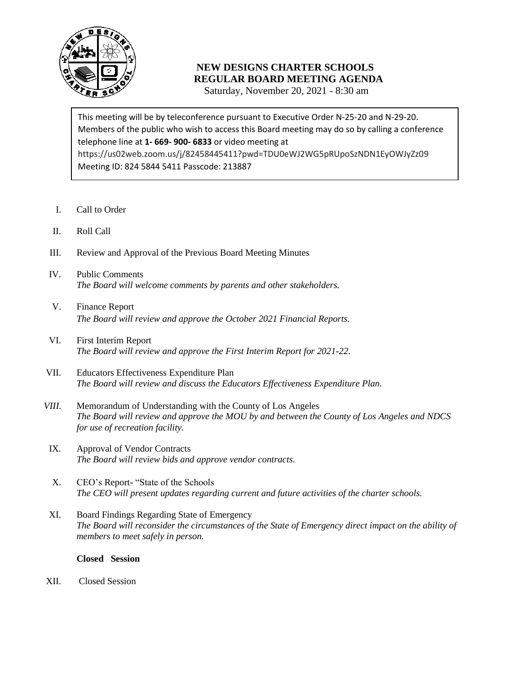

## **NEW DESIGNS CHARTER SCHOOLS REGULAR BOARD MEETING AGENDA**

Saturday, November 20, 2021 - 8:30 am

 Members of the public who wish to access this Board meeting may do so by calling a conference telephone line at **1- 669- 900- 6833** or video meeting at This meeting will be by teleconference pursuant to Executive Order N-25-20 and N-29-20. https://us02web.zoom.us/j/82458445411?pwd=TDU0eWJ2WG5pRUpoSzNDN1EyOWJyZz09 Meeting ID: 824 5844 5411 Passcode: 213887

- I. Call to Order
- II. Roll Call
- III. Review and Approval of the Previous Board Meeting Minutes
- IV. Public Comments *The Board will welcome comments by parents and other stakeholders.*
- V. Finance Report *The Board will review and approve the October 2021 Financial Reports.*
- VI. First Interim Report *The Board will review and approve the First Interim Report for 2021-22.*
- VII. Educators Effectiveness Expenditure Plan *The Board will review and discuss the Educators Effectiveness Expenditure Plan.*
- *VIII.* Memorandum of Understanding with the County of Los Angeles *The Board will review and approve the MOU by and between the County of Los Angeles and NDCS for use of recreation facility.*
- IX. Approval of Vendor Contracts *The Board will review bids and approve vendor contracts.*
- X. CEO's Report- "State of the Schools *The CEO will present updates regarding current and future activities of the charter schools.*
- XI. Board Findings Regarding State of Emergency *The Board will reconsider the circumstances of the State of Emergency direct impact on the ability of members to meet safely in person.*

## **Closed Session**

XII. Closed Session